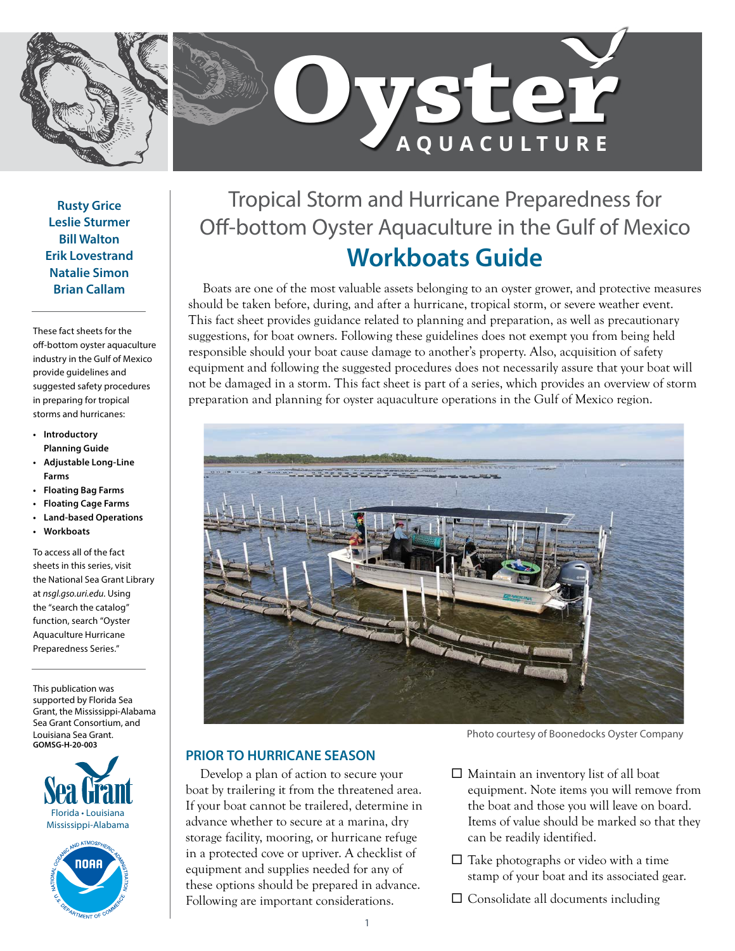



**Rusty Grice Leslie Sturmer Bill Walton Erik Lovestrand Natalie Simon Brian Callam**

These fact sheets for the off-bottom oyster aquaculture industry in the Gulf of Mexico provide guidelines and suggested safety procedures in preparing for tropical storms and hurricanes:

- **• Introductory Planning Guide**
- **• Adjustable Long-Line Farms**
- **• Floating Bag Farms**
- **• Floating Cage Farms**
- **• Land-based Operations**
- **• Workboats**

To access all of the fact sheets in this series, visit the National Sea Grant Library at *[nsgl.gso.uri.edu](https://urldefense.proofpoint.com/v2/url?u=https-3A__nsgl.gso.uri.edu&d=DwMFaQ&c=sJ6xIWYx-zLMB3EPkvcnVg&r=VfJAwpDiLBekOq-fvqWcAWdR0GZGzYlTtcD0YUNnnzA&m=vxfA58KUOjReuBcZydJvffs0gv27yU25hTW2ZLiHpr0&s=lip0VEsWeR6UEI9gPso9XMN9cEnrK_WjyHeqMbbsYlw&e=)*. Using the "search the catalog" function, search "Oyster Aquaculture Hurricane Preparedness Series."

This publication was supported by Florida Sea Grant, the Mississippi-Alabama Sea Grant Consortium, and Louisiana Sea Grant. **GOMSG-H-20-003**





# Tropical Storm and Hurricane Preparedness for Off-bottom Oyster Aquaculture in the Gulf of Mexico **Workboats Guide**

Boats are one of the most valuable assets belonging to an oyster grower, and protective measures should be taken before, during, and after a hurricane, tropical storm, or severe weather event. This fact sheet provides guidance related to planning and preparation, as well as precautionary suggestions, for boat owners. Following these guidelines does not exempt you from being held responsible should your boat cause damage to another's property. Also, acquisition of safety equipment and following the suggested procedures does not necessarily assure that your boat will not be damaged in a storm. This fact sheet is part of a series, which provides an overview of storm preparation and planning for oyster aquaculture operations in the Gulf of Mexico region.



## **PRIOR TO HURRICANE SEASON**

Develop a plan of action to secure your boat by trailering it from the threatened area. If your boat cannot be trailered, determine in advance whether to secure at a marina, dry storage facility, mooring, or hurricane refuge in a protected cove or upriver. A checklist of equipment and supplies needed for any of these options should be prepared in advance. Following are important considerations.

Photo courtesy of Boonedocks Oyster Company

- $\Box$  Maintain an inventory list of all boat equipment. Note items you will remove from the boat and those you will leave on board. Items of value should be marked so that they can be readily identified.
- $\square$  Take photographs or video with a time stamp of your boat and its associated gear.
- $\square$  Consolidate all documents including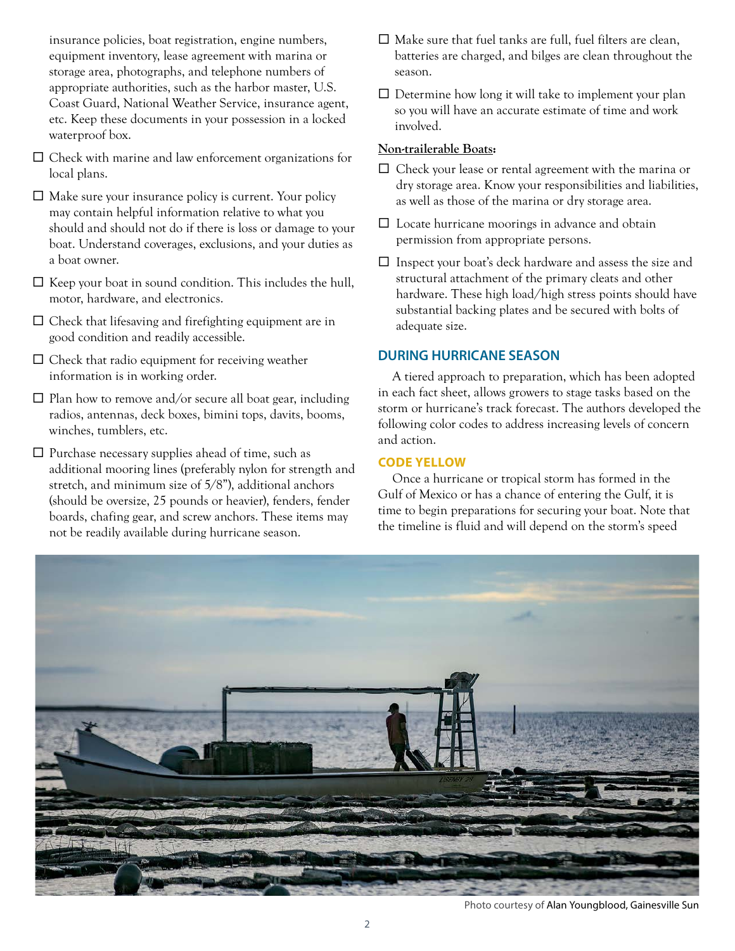insurance policies, boat registration, engine numbers, equipment inventory, lease agreement with marina or storage area, photographs, and telephone numbers of appropriate authorities, such as the harbor master, U.S. Coast Guard, National Weather Service, insurance agent, etc. Keep these documents in your possession in a locked waterproof box.

- $\square$  Check with marine and law enforcement organizations for local plans.
- $\Box$  Make sure your insurance policy is current. Your policy may contain helpful information relative to what you should and should not do if there is loss or damage to your boat. Understand coverages, exclusions, and your duties as a boat owner.
- $\square$  Keep your boat in sound condition. This includes the hull, motor, hardware, and electronics.
- $\square$  Check that lifesaving and firefighting equipment are in good condition and readily accessible.
- $\square$  Check that radio equipment for receiving weather information is in working order.
- $\Box$  Plan how to remove and/or secure all boat gear, including radios, antennas, deck boxes, bimini tops, davits, booms, winches, tumblers, etc.
- $\square$  Purchase necessary supplies ahead of time, such as additional mooring lines (preferably nylon for strength and stretch, and minimum size of 5/8"), additional anchors (should be oversize, 25 pounds or heavier), fenders, fender boards, chafing gear, and screw anchors. These items may not be readily available during hurricane season.
- $\square$  Make sure that fuel tanks are full, fuel filters are clean, batteries are charged, and bilges are clean throughout the season.
- $\square$  Determine how long it will take to implement your plan so you will have an accurate estimate of time and work involved.

#### **Non-trailerable Boats:**

- $\square$  Check your lease or rental agreement with the marina or dry storage area. Know your responsibilities and liabilities, as well as those of the marina or dry storage area.
- $\square$  Locate hurricane moorings in advance and obtain permission from appropriate persons.
- $\square$  Inspect your boat's deck hardware and assess the size and structural attachment of the primary cleats and other hardware. These high load/high stress points should have substantial backing plates and be secured with bolts of adequate size.

## **DURING HURRICANE SEASON**

A tiered approach to preparation, which has been adopted in each fact sheet, allows growers to stage tasks based on the storm or hurricane's track forecast. The authors developed the following color codes to address increasing levels of concern and action.

#### **CODE YELLOW**

Once a hurricane or tropical storm has formed in the Gulf of Mexico or has a chance of entering the Gulf, it is time to begin preparations for securing your boat. Note that the timeline is fluid and will depend on the storm's speed



Photo courtesy of Alan Youngblood, Gainesville Sun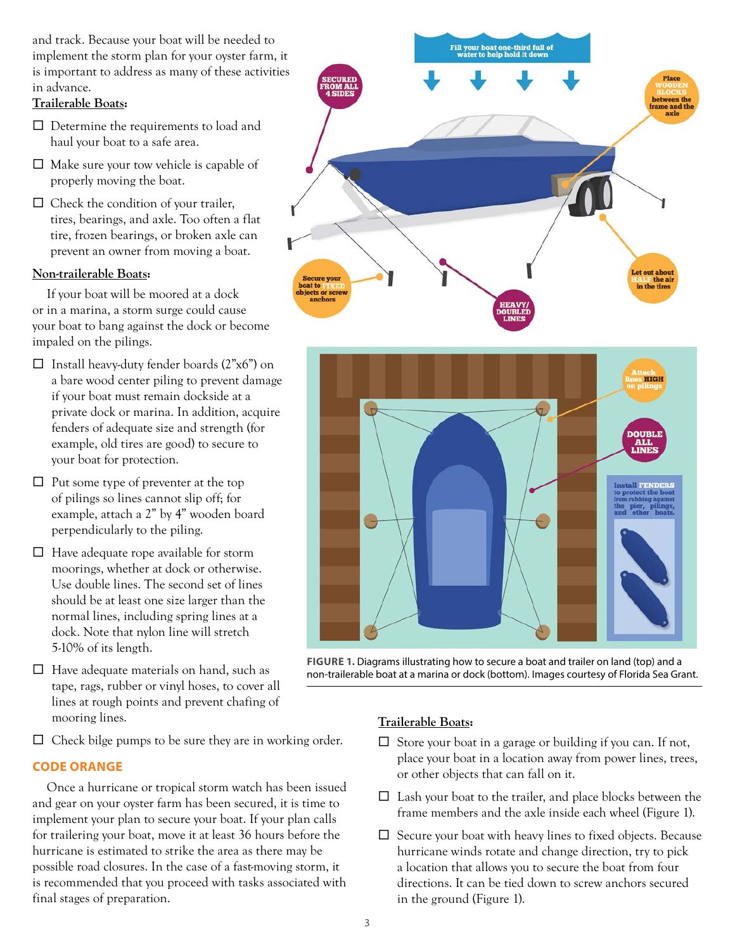and track. Because your boat will be needed to implement the storm plan for your oyster farm, it is important to address as many of these activities in advance.

#### **Trailerable Boats:**

- $\square$  Determine the requirements to load and haul your boat to a safe area.
- $\square$  Make sure your tow vehicle is capable of properly moving the boat.
- $\Box$  Check the condition of your trailer, tires, bearings, and axle. Too often a flat tire, frozen bearings, or broken axle can prevent an owner from moving a boat.

#### **Non-trailerable Boats:**

If your boat will be moored at a dock or in a marina, a storm surge could cause your boat to bang against the dock or become impaled on the pilings.

- $\Box$  Install heavy-duty fender boards (2"x6") on a bare wood center piling to prevent damage if your boat must remain dockside at a private dock or marina. In addition, acquire fenders of adequate size and strength (for example, old tires are good) to secure to your boat for protection.
- $\Box$  Put some type of preventer at the top of pilings so lines cannot slip off; for example, attach a 2" by 4" wooden board perpendicularly to the piling.
- $\Box$  Have adequate rope available for storm moorings, whether at dock or otherwise. Use double lines. The second set of lines should be at least one size larger than the normal lines, including spring lines at a dock. Note that nylon line will stretch 5-10% of its length.
- $\Box$  Have adequate materials on hand, such as tape, rags, rubber or vinyl hoses, to cover all lines at rough points and prevent chafing of mooring lines.
- $\Box$  Check bilge pumps to be sure they are in working order.

## **CODE ORANGE**

Once a hurricane or tropical storm watch has been issued and gear on your oyster farm has been secured, it is time to implement your plan to secure your boat. If your plan calls for trailering your boat, move it at least 36 hours before the hurricane is estimated to strike the area as there may be possible road closures. In the case of a fast-moving storm, it is recommended that you proceed with tasks associated with final stages of preparation.





**FIGURE 1.** Diagrams illustrating how to secure a boat and trailer on land (top) and a non-trailerable boat at a marina or dock (bottom). Images courtesy of Florida Sea Grant.

### **Trailerable Boats:**

- $\Box$  Store your boat in a garage or building if you can. If not, place your boat in a location away from power lines, trees, or other objects that can fall on it.
- $\square$  Lash your boat to the trailer, and place blocks between the frame members and the axle inside each wheel (Figure 1).
- $\square$  Secure your boat with heavy lines to fixed objects. Because hurricane winds rotate and change direction, try to pick a location that allows you to secure the boat from four directions. It can be tied down to screw anchors secured in the ground (Figure 1).